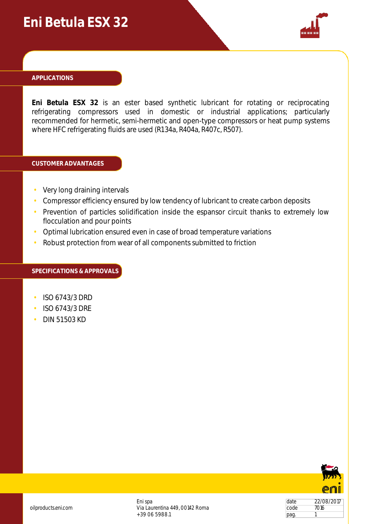## **Eni Betula ESX 32**



#### **APPLICATIONS**

**Eni Betula ESX 32** is an ester based synthetic lubricant for rotating or reciprocating refrigerating compressors used in domestic or industrial applications; particularly recommended for hermetic, semi-hermetic and open-type compressors or heat pump systems where HFC refrigerating fluids are used (R134a, R404a, R407c, R507).

#### **CUSTOMER ADVANTAGES**

- Very long draining intervals
- Compressor efficiency ensured by low tendency of lubricant to create carbon deposits
- Prevention of particles solidification inside the espansor circuit thanks to extremely low flocculation and pour points
- Optimal lubrication ensured even in case of broad temperature variations
- Robust protection from wear of all components submitted to friction

#### **SPECIFICATIONS & APPROVALS**

- ISO 6743/3 DRD
- ISO 6743/3 DRE
- DIN 51503 KD



date 22/08/2017 code 7016  $\vert$ pag. 1

oilproducts.eni.com

Eni spa Via Laurentina 449, 00142 Roma +39 06 5988.1